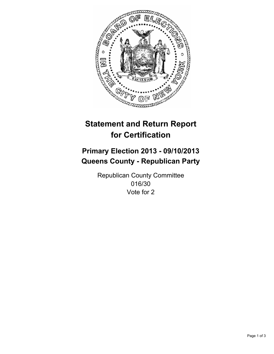

# **Statement and Return Report for Certification**

## **Primary Election 2013 - 09/10/2013 Queens County - Republican Party**

Republican County Committee 016/30 Vote for 2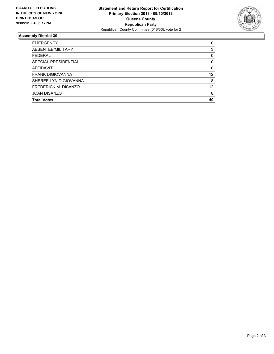

### **Assembly District 30**

| <b>EMERGENCY</b>            | 0        |
|-----------------------------|----------|
| ABSENTEE/MILITARY           | 3        |
| <b>FEDERAL</b>              | 0        |
| <b>SPECIAL PRESIDENTIAL</b> | 0        |
| <b>AFFIDAVIT</b>            | $\Omega$ |
| <b>FRANK DIGIOVANNA</b>     | 12       |
| SHEREE LYN DIGIOVANNA       | 8        |
| FREDERICK M. DISANZO        | 12       |
| <b>JOAN DISANZO</b>         | 8        |
| <b>Total Votes</b>          | 40       |